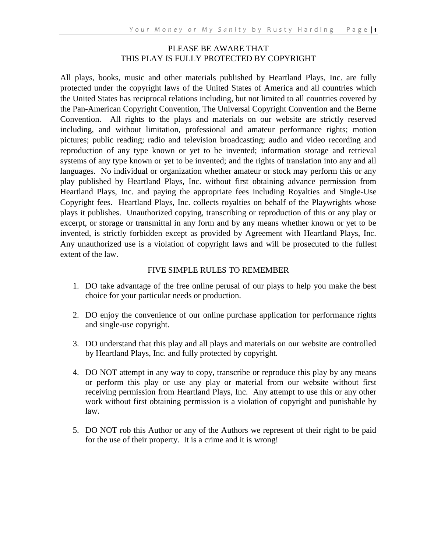#### PLEASE BE AWARE THAT THIS PLAY IS FULLY PROTECTED BY COPYRIGHT

All plays, books, music and other materials published by Heartland Plays, Inc. are fully protected under the copyright laws of the United States of America and all countries which the United States has reciprocal relations including, but not limited to all countries covered by the Pan-American Copyright Convention, The Universal Copyright Convention and the Berne Convention. All rights to the plays and materials on our website are strictly reserved including, and without limitation, professional and amateur performance rights; motion pictures; public reading; radio and television broadcasting; audio and video recording and reproduction of any type known or yet to be invented; information storage and retrieval systems of any type known or yet to be invented; and the rights of translation into any and all languages. No individual or organization whether amateur or stock may perform this or any play published by Heartland Plays, Inc. without first obtaining advance permission from Heartland Plays, Inc. and paying the appropriate fees including Royalties and Single-Use Copyright fees. Heartland Plays, Inc. collects royalties on behalf of the Playwrights whose plays it publishes. Unauthorized copying, transcribing or reproduction of this or any play or excerpt, or storage or transmittal in any form and by any means whether known or yet to be invented, is strictly forbidden except as provided by Agreement with Heartland Plays, Inc. Any unauthorized use is a violation of copyright laws and will be prosecuted to the fullest extent of the law.

#### FIVE SIMPLE RULES TO REMEMBER

- 1. DO take advantage of the free online perusal of our plays to help you make the best choice for your particular needs or production.
- 2. DO enjoy the convenience of our online purchase application for performance rights and single-use copyright.
- 3. DO understand that this play and all plays and materials on our website are controlled by Heartland Plays, Inc. and fully protected by copyright.
- 4. DO NOT attempt in any way to copy, transcribe or reproduce this play by any means or perform this play or use any play or material from our website without first receiving permission from Heartland Plays, Inc. Any attempt to use this or any other work without first obtaining permission is a violation of copyright and punishable by law.
- 5. DO NOT rob this Author or any of the Authors we represent of their right to be paid for the use of their property. It is a crime and it is wrong!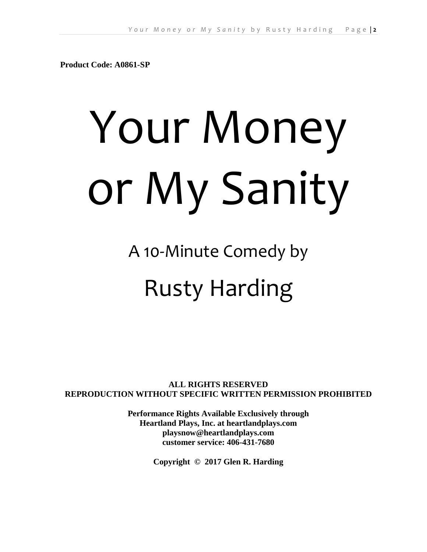**Product Code: A0861-SP**

# Your Money or My Sanity

A 10-Minute Comedy by

# Rusty Harding

**ALL RIGHTS RESERVED REPRODUCTION WITHOUT SPECIFIC WRITTEN PERMISSION PROHIBITED**

> **Performance Rights Available Exclusively through Heartland Plays, Inc. at heartlandplays.com playsnow@heartlandplays.com customer service: 406-431-7680**

> > **Copyright © 2017 Glen R. Harding**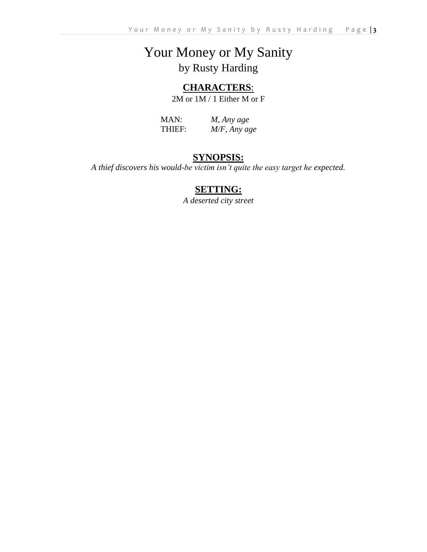# Your Money or My Sanity by Rusty Harding

# **CHARACTERS**:

2M or 1M / 1 Either M or F

MAN: *M, Any age* THIEF: *M/F, Any age*

# **SYNOPSIS:**

*A thief discovers his would-be victim isn't quite the easy target he expected.*

# **SETTING:**

*A deserted city street*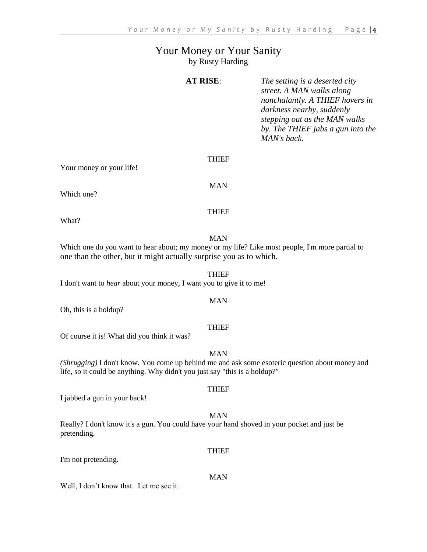## Your Money or Your Sanity by Rusty Harding

| street. A MAN walks along<br>nonchalantly. A THIEF hovers in<br>darkness nearby, suddenly<br>stepping out as the MAN walks |
|----------------------------------------------------------------------------------------------------------------------------|
| by. The THIEF jabs a gun into the                                                                                          |
|                                                                                                                            |

Your money or your life!

Which one?

THIEF

MAN

THIEF

What?

MAN

THIEF

MAN

THIEF

Which one do you want to hear about; my money or my life? Like most people, I'm more partial to one than the other, but it might actually surprise you as to which.

I don't want to *hear* about your money, I want you to give it to me!

Oh, this is a holdup?

Of course it is! What did you think it was?

*(Shrugging)* I don't know. You come up behind me and ask some esoteric question about money and life, so it could be anything. Why didn't you just say "this is a holdup?"

I jabbed a gun in your back!

MAN

Really? I don't know it's a gun. You could have your hand shoved in your pocket and just be pretending.

I'm not pretending.

MAN

Well, I don't know that. Let me see it.

# **THIEF**

**THIEF** 

# MAN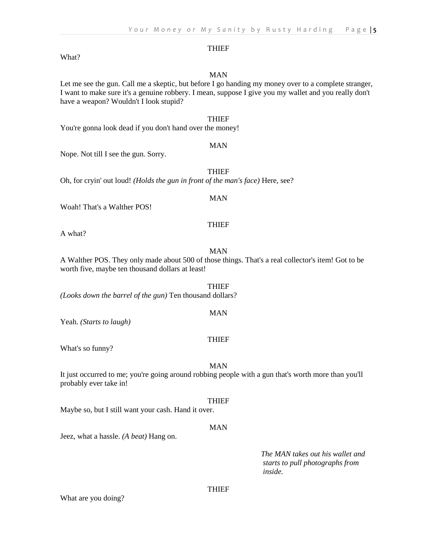#### **THIEF**

#### What?

#### MAN

Let me see the gun. Call me a skeptic, but before I go handing my money over to a complete stranger, I want to make sure it's a genuine robbery. I mean, suppose I give you my wallet and you really don't have a weapon? Wouldn't I look stupid?

#### THIEF

You're gonna look dead if you don't hand over the money!

#### MAN

Nope. Not till I see the gun. Sorry.

**THIEF** 

Oh, for cryin' out loud! *(Holds the gun in front of the man's face)* Here, see?

#### MAN

THIEF

Woah! That's a Walther POS!

A what?

#### MAN

A Walther POS. They only made about 500 of those things. That's a real collector's item! Got to be worth five, maybe ten thousand dollars at least!

THIEF *(Looks down the barrel of the gun)* Ten thousand dollars?

Yeah. *(Starts to laugh)*

#### THIEF

MAN

What's so funny?

#### MAN

It just occurred to me; you're going around robbing people with a gun that's worth more than you'll probably ever take in!

#### THIEF

Maybe so, but I still want your cash. Hand it over.

#### MAN

Jeez, what a hassle. *(A beat)* Hang on.

*The MAN takes out his wallet and starts to pull photographs from inside.*

THIEF

What are you doing?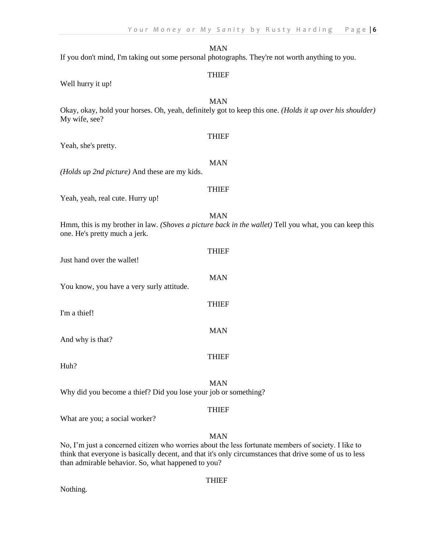|                                                                 | <b>THIEF</b>                                                                                                           |
|-----------------------------------------------------------------|------------------------------------------------------------------------------------------------------------------------|
| Well hurry it up!                                               |                                                                                                                        |
| My wife, see?                                                   | <b>MAN</b><br>Okay, okay, hold your horses. Oh, yeah, definitely got to keep this one. (Holds it up over his shoulder) |
| Yeah, she's pretty.                                             | <b>THIEF</b>                                                                                                           |
| (Holds up 2nd picture) And these are my kids.                   | <b>MAN</b>                                                                                                             |
| Yeah, yeah, real cute. Hurry up!                                | <b>THIEF</b>                                                                                                           |
| one. He's pretty much a jerk.                                   | <b>MAN</b><br>Hmm, this is my brother in law. (Shoves a picture back in the wallet) Tell you what, you can keep this   |
| Just hand over the wallet!                                      | <b>THIEF</b>                                                                                                           |
| You know, you have a very surly attitude.                       | <b>MAN</b>                                                                                                             |
| I'm a thief!                                                    | <b>THIEF</b>                                                                                                           |
| And why is that?                                                | <b>MAN</b>                                                                                                             |
| Huh?                                                            | <b>THIEF</b>                                                                                                           |
| Why did you become a thief? Did you lose your job or something? | <b>MAN</b>                                                                                                             |
| <b>YY 71</b>                                                    | <b>THIEF</b>                                                                                                           |
|                                                                 |                                                                                                                        |

What are you; a social worker?

#### MAN

No, I'm just a concerned citizen who worries about the less fortunate members of society. I like to think that everyone is basically decent, and that it's only circumstances that drive some of us to less than admirable behavior. So, what happened to you?

#### THIEF

Nothing.

#### *Your Money or My Sanity by Rusty Harding* Page | 6

MAN If you don't mind, I'm taking out some personal photographs. They're not worth anything to you.